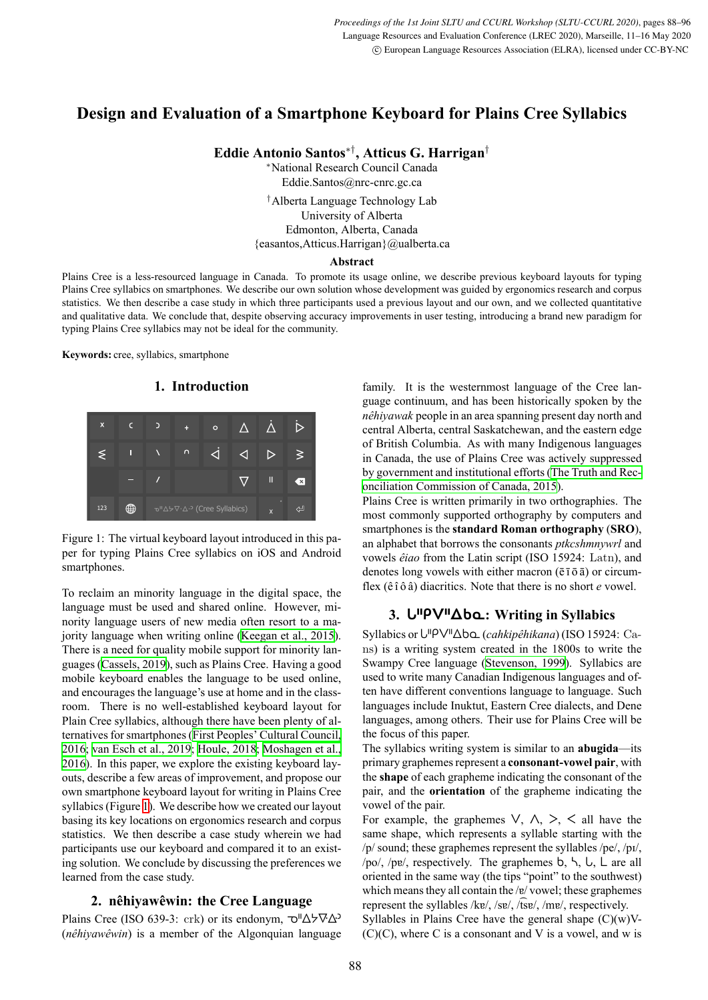# **Design and Evaluation of a Smartphone Keyboard for Plains Cree Syllabics**

**Eddie Antonio Santos***∗†***, Atticus G. Harrigan***†*

*<sup>∗</sup>*National Research Council Canada Eddie.Santos@nrc-cnrc.gc.ca

*†*Alberta Language Technology Lab University of Alberta Edmonton, Alberta, Canada {easantos,Atticus.Harrigan}@ualberta.ca

#### **Abstract**

Plains Cree is a less-resourced language in Canada. To promote its usage online, we describe previous keyboard layouts for typing Plains Cree syllabics on smartphones. We describe our own solution whose development was guided by ergonomics research and corpus statistics. We then describe a case study in which three participants used a previous layout and our own, and we collected quantitative and qualitative data. We conclude that, despite observing accuracy improvements in user testing, introducing a brand new paradigm for typing Plains Cree syllabics may not be ideal for the community.

**Keywords:** cree, syllabics, smartphone

# **1. Introduction**

<span id="page-0-0"></span>

Figure 1: The virtual keyboard layout introduced in this paper for typing Plains Cree syllabics on iOS and Android smartphones.

To reclaim an minority language in the digital space, the language must be used and shared online. However, minority language users of new media often resort to a majority language when writing online([Keegan et al., 2015](#page-8-0)). There is a need for quality mobile support for minority languages [\(Cassels, 2019\)](#page-8-1), such as Plains Cree. Having a good mobile keyboard enables the language to be used online, and encourages the language's use at home and in the classroom. There is no well-established keyboard layout for Plain Cree syllabics, although there have been plenty of alternatives for smartphones([First Peoples' Cultural Council,](#page-8-2) [2016](#page-8-2); [van Esch et al., 2019;](#page-8-3) [Houle, 2018;](#page-8-4) [Moshagen et al.,](#page-8-5) [2016](#page-8-5)). In this paper, we explore the existing keyboard layouts, describe a few areas of improvement, and propose our own smartphone keyboard layout for writing in Plains Cree syllabics (Figure [1](#page-0-0)). We describe how we created our layout basing its key locations on ergonomics research and corpus statistics. We then describe a case study wherein we had participants use our keyboard and compared it to an existing solution. We conclude by discussing the preferences we learned from the case study.

# **2. nêhiyawêwin: the Cree Language**

Plains Cree (ISO 639-3: crk) or its endonym,  $\nabla$ <sup> $\Delta$ </sup> $\Delta$  $\nabla$  $\Delta$ <sup>3</sup> (*nêhiyawêwin*) is a member of the Algonquian language

family. It is the westernmost language of the Cree language continuum, and has been historically spoken by the *nêhiyawak* people in an area spanning present day north and central Alberta, central Saskatchewan, and the eastern edge of British Columbia. As with many Indigenous languages in Canada, the use of Plains Cree was actively suppressed by government and institutional efforts [\(The Truth and Rec](#page-8-6)[onciliation Commission of Canada, 2015](#page-8-6)).

Plains Cree is written primarily in two orthographies. The most commonly supported orthography by computers and smartphones is the **standard Roman orthography** (**SRO**), an alphabet that borrows the consonants *ptkcshmnywrl* and vowels *êiao* from the Latin script (ISO 15924: Latn), and denotes long vowels with either macron ( $\bar{e}$   $\bar{f}$  $\bar{o}$  $\bar{a}$ ) or circumflex (ê î ô â) diacritics. Note that there is no short *e* vowel.

# **3. ᒐᐦᑭᐯᐦᐃᑲᓇ: Writing in Syllabics**

Syllabics or ᒐᐦᑭᐯᐦᐃᑲᓇ (*cahkipêhikana*) (ISO 15924: Cans) is a writing system created in the 1800s to write the Swampy Cree language [\(Stevenson, 1999](#page-8-7)). Syllabics are used to write many Canadian Indigenous languages and often have different conventions language to language. Such languages include Inuktut, Eastern Cree dialects, and Dene languages, among others. Their use for Plains Cree will be the focus of this paper.

The syllabics writing system is similar to an **abugida**—its primary graphemes represent a **consonant-vowel pair**, with the **shape** of each grapheme indicating the consonant of the pair, and the **orientation** of the grapheme indicating the vowel of the pair.

For example, the graphemes  $\vee$ ,  $\wedge$ ,  $\ge$ ,  $\lt$  all have the same shape, which represents a syllable starting with the /p/ sound; these graphemes represent the syllables /pe/, /pɪ/, /po/, /pɐ/, respectively. The graphemes  $b, \, \lambda, \, b, \, \lambda$  are all oriented in the same way (the tips "point" to the southwest) which means they all contain the /ɐ/ vowel; these graphemes represent the syllables /kɐ/, /sɐ/, /tsɐ/, /mɐ/, respectively.

Syllables in Plains Cree have the general shape  $(C)(w)V$ - $(C)(C)$ , where C is a consonant and V is a vowel, and w is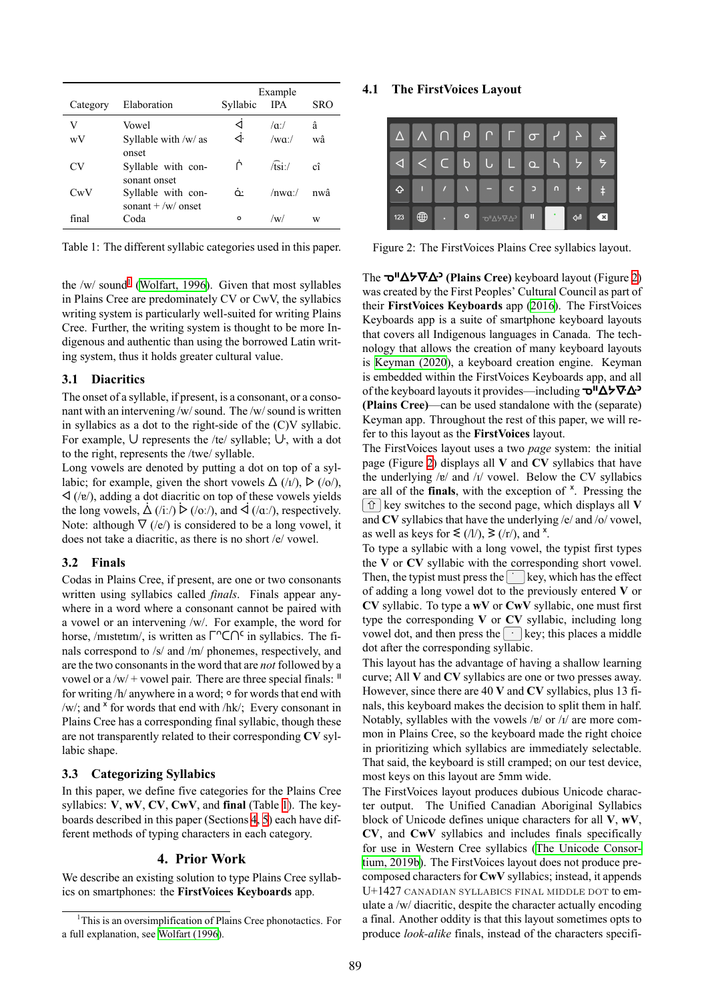<span id="page-1-1"></span>

|          |                                                            |          | Example      |            |
|----------|------------------------------------------------------------|----------|--------------|------------|
| Category | Elaboration                                                | Syllabic | IPA          | <b>SRO</b> |
| V        | Vowel                                                      | ◁        | $/\alpha$ :/ | â          |
| wV       | Syllable with $/w/$ as<br>onset                            | ⊲∙       | $/wa$ :/     | wâ         |
| CV       | Syllable with con-                                         | Ò        | $\sqrt{tsi}$ | cî         |
| CwV      | sonant onset<br>Syllable with con-<br>sonant + $/w/$ onset | Ċ٠       | $/$ nwa:/    | nwâ        |
| final    | Coda                                                       | $\circ$  | $\sqrt{W}$   | w          |

Table 1: The different syllabic categories used in this paper.

the /w/ sound<sup>[1](#page-1-0)</sup> [\(Wolfart, 1996](#page-8-8)). Given that most syllables in Plains Cree are predominately CV or CwV, the syllabics writing system is particularly well-suited for writing Plains Cree. Further, the writing system is thought to be more Indigenous and authentic than using the borrowed Latin writing system, thus it holds greater cultural value.

#### **3.1 Diacritics**

The onset of a syllable, if present, is a consonant, or a consonant with an intervening /w/ sound. The /w/ sound is written in syllabics as a dot to the right-side of the (C)V syllabic. For example,  $\cup$  represents the /te/ syllable;  $\cup$ , with a dot to the right, represents the /twe/ syllable.

Long vowels are denoted by putting a dot on top of a syllabic; for example, given the short vowels  $\Delta (I_1)$ ,  $\Delta (I_0)$ ,  $\triangle$  (/ɐ/), adding a dot diacritic on top of these vowels yields the long vowels,  $\Delta (i$ i:/)  $\Delta (o$ :/), and  $\Delta (a$ :/), respectively. Note: although  $\nabla$  (/e/) is considered to be a long vowel, it does not take a diacritic, as there is no short /e/ vowel.

#### **3.2 Finals**

Codas in Plains Cree, if present, are one or two consonants written using syllabics called *finals*. Finals appear anywhere in a word where a consonant cannot be paired with a vowel or an intervening /w/. For example, the word for horse, /mɪstɐtɪm/, is written as  $\Gamma$ <sup>o</sup> $\subset \cap$ <sup>c</sup> in syllabics. The finals correspond to /s/ and /m/ phonemes, respectively, and are the two consonants in the word that are *not* followed by a vowel or a  $/w$  + vowel pair. There are three special finals:  $\mathbb{I}$ for writing  $/h/$  anywhere in a word;  $\circ$  for words that end with /w/; and  $x$  for words that end with /hk/; Every consonant in Plains Cree has a corresponding final syllabic, though these are not transparently related to their corresponding **CV** syllabic shape.

### **3.3 Categorizing Syllabics**

In this paper, we define five categories for the Plains Cree syllabics: **V**, **wV**, **CV**, **CwV**, and **final** (Table [1](#page-1-1)). The keyboards described in this paper (Sections [4](#page-1-2), [5\)](#page-2-0) each have different methods of typing characters in each category.

#### **4. Prior Work**

<span id="page-1-2"></span>We describe an existing solution to type Plains Cree syllabics on smartphones: the **FirstVoices Keyboards** app.

#### <span id="page-1-3"></span>**4.1 The FirstVoices Layout**

| $\Delta$            |             |   | ρ           | $\cap$         |   | $\overline{\textbf{O}}$ |                |                      | $\Rightarrow$ |
|---------------------|-------------|---|-------------|----------------|---|-------------------------|----------------|----------------------|---------------|
|                     |             | C | $\mathsf b$ |                |   | $\overline{a}$          |                |                      | ち             |
| $\overline{\bm{G}}$ | п           | n |             |                | c | D                       | $\overline{a}$ | $\ddot{\phantom{1}}$ | ŧ             |
| 123                 | $\bigoplus$ | ö | $\circ$     | <b>O"</b> A7VA |   | Ш                       |                | پ                    | [x            |

Figure 2: The FirstVoices Plains Cree syllabics layout.

The **o<sup>n</sup>∆≻∇∆**<sup>[2](#page-1-3)</sup> (Plains Cree) keyboard layout (Figure 2) was created by the First Peoples' Cultural Council as part of their **FirstVoices Keyboards** app [\(2016](#page-8-2)). The FirstVoices Keyboards app is a suite of smartphone keyboard layouts that covers all Indigenous languages in Canada. The technology that allows the creation of many keyboard layouts is [Keyman \(2020\)](#page-8-9), a keyboard creation engine. Keyman is embedded within the FirstVoices Keyboards app, and all of the keyboard layouts it provides—including **□"Δ**<del>></del>Δ<sup>2</sup> **(Plains Cree)**—can be used standalone with the (separate) Keyman app. Throughout the rest of this paper, we will refer to this layout as the **FirstVoices** layout.

The FirstVoices layout uses a two *page* system: the initial page (Figure [2](#page-1-3)) displays all **V** and **CV** syllabics that have the underlying /ɐ/ and /ɪ/ vowel. Below the CV syllabics are all of the **finals**, with the exception of  $\lambda$ . Pressing the  $\alpha$  key switches to the second page, which displays all **V** and **CV** syllabics that have the underlying /e/ and /o/ vowel, as well as keys for  $\leq (1/1)$ ,  $\geq (r/1)$ , and  $\geq$ .

To type a syllabic with a long vowel, the typist first types the **V** or **CV** syllabic with the corresponding short vowel. Then, the typist must press the  $\lceil \cdot \rceil$  key, which has the effect of adding a long vowel dot to the previously entered **V** or **CV** syllabic. To type a **wV** or **CwV** syllabic, one must first type the corresponding **V** or **CV** syllabic, including long vowel dot, and then press the  $\lceil \cdot \rceil$  key; this places a middle dot after the corresponding syllabic.

This layout has the advantage of having a shallow learning curve; All **V** and **CV** syllabics are one or two presses away. However, since there are 40 **V** and **CV** syllabics, plus 13 finals, this keyboard makes the decision to split them in half. Notably, syllables with the vowels /ɐ/ or /ɪ/ are more common in Plains Cree, so the keyboard made the right choice in prioritizing which syllabics are immediately selectable. That said, the keyboard is still cramped; on our test device, most keys on this layout are 5mm wide.

The FirstVoices layout produces dubious Unicode character output. The Unified Canadian Aboriginal Syllabics block of Unicode defines unique characters for all **V**, **wV**, **CV**, and **CwV** syllabics and includes finals specifically for use in Western Cree syllabics([The Unicode Consor](#page-8-10)[tium, 2019b\)](#page-8-10). The FirstVoices layout does not produce precomposed characters for **CwV** syllabics; instead, it appends U+1427 CANADIAN SYLLABICS FINAL MIDDLE DOT to emulate a /w/ diacritic, despite the character actually encoding a final. Another oddity is that this layout sometimes opts to produce *look-alike* finals, instead of the characters specifi-

<span id="page-1-0"></span><sup>&</sup>lt;sup>1</sup>This is an oversimplification of Plains Cree phonotactics. For a full explanation, see [Wolfart \(1996](#page-8-8)).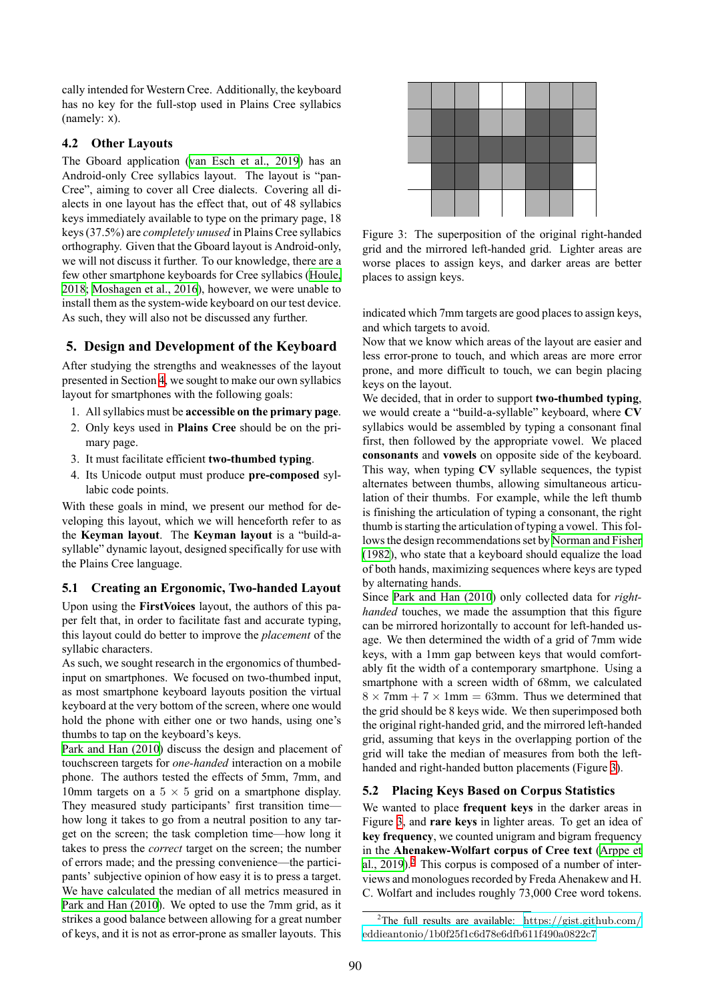cally intended for Western Cree. Additionally, the keyboard has no key for the full-stop used in Plains Cree syllabics  $(namely: x).$ 

## **4.2 Other Layouts**

The Gboard application [\(van Esch et al., 2019\)](#page-8-3) has an Android-only Cree syllabics layout. The layout is "pan-Cree", aiming to cover all Cree dialects. Covering all dialects in one layout has the effect that, out of 48 syllabics keys immediately available to type on the primary page, 18 keys (37.5%) are *completely unused* in Plains Cree syllabics orthography. Given that the Gboard layout is Android-only, we will not discuss it further. To our knowledge, there are a few other smartphone keyboards for Cree syllabics [\(Houle,](#page-8-4) [2018](#page-8-4); [Moshagen et al., 2016](#page-8-5)), however, we were unable to install them as the system-wide keyboard on our test device. As such, they will also not be discussed any further.

# <span id="page-2-0"></span>**5. Design and Development of the Keyboard**

After studying the strengths and weaknesses of the layout presented in Section [4,](#page-1-2) we sought to make our own syllabics layout for smartphones with the following goals:

- 1. All syllabics must be **accessible on the primary page**.
- 2. Only keys used in **Plains Cree** should be on the primary page.
- 3. It must facilitate efficient **two-thumbed typing**.
- 4. Its Unicode output must produce **pre-composed** syllabic code points.

With these goals in mind, we present our method for developing this layout, which we will henceforth refer to as the **Keyman layout**. The **Keyman layout** is a "build-asyllable" dynamic layout, designed specifically for use with the Plains Cree language.

### **5.1 Creating an Ergonomic, Two-handed Layout**

Upon using the **FirstVoices** layout, the authors of this paper felt that, in order to facilitate fast and accurate typing, this layout could do better to improve the *placement* of the syllabic characters.

As such, we sought research in the ergonomics of thumbedinput on smartphones. We focused on two-thumbed input, as most smartphone keyboard layouts position the virtual keyboard at the very bottom of the screen, where one would hold the phone with either one or two hands, using one's thumbs to tap on the keyboard's keys.

[Park and Han \(2010](#page-8-11)) discuss the design and placement of touchscreen targets for *one-handed* interaction on a mobile phone. The authors tested the effects of 5mm, 7mm, and 10mm targets on a  $5 \times 5$  grid on a smartphone display. They measured study participants' first transition time how long it takes to go from a neutral position to any target on the screen; the task completion time—how long it takes to press the *correct* target on the screen; the number of errors made; and the pressing convenience—the participants' subjective opinion of how easy it is to press a target. We have calculated the median of all metrics measured in [Park and Han \(2010](#page-8-11)). We opted to use the 7mm grid, as it strikes a good balance between allowing for a great number of keys, and it is not as error-prone as smaller layouts. This

<span id="page-2-1"></span>

Figure 3: The superposition of the original right-handed grid and the mirrored left-handed grid. Lighter areas are worse places to assign keys, and darker areas are better places to assign keys.

indicated which 7mm targets are good places to assign keys, and which targets to avoid.

Now that we know which areas of the layout are easier and less error-prone to touch, and which areas are more error prone, and more difficult to touch, we can begin placing keys on the layout.

We decided, that in order to support **two-thumbed typing**, we would create a "build-a-syllable" keyboard, where **CV** syllabics would be assembled by typing a consonant final first, then followed by the appropriate vowel. We placed **consonants** and **vowels** on opposite side of the keyboard. This way, when typing **CV** syllable sequences, the typist alternates between thumbs, allowing simultaneous articulation of their thumbs. For example, while the left thumb is finishing the articulation of typing a consonant, the right thumb is starting the articulation of typing a vowel. This follows the design recommendations set by [Norman and Fisher](#page-8-12) [\(1982](#page-8-12)), who state that a keyboard should equalize the load of both hands, maximizing sequences where keys are typed by alternating hands.

Since [Park and Han \(2010\)](#page-8-11) only collected data for *righthanded* touches, we made the assumption that this figure can be mirrored horizontally to account for left-handed usage. We then determined the width of a grid of 7mm wide keys, with a 1mm gap between keys that would comfortably fit the width of a contemporary smartphone. Using a smartphone with a screen width of 68mm, we calculated  $8 \times 7$ mm + 7  $\times$  1mm = 63mm. Thus we determined that the grid should be 8 keys wide. We then superimposed both the original right-handed grid, and the mirrored left-handed grid, assuming that keys in the overlapping portion of the grid will take the median of measures from both the lefthanded and right-handed button placements (Figure [3](#page-2-1)).

# **5.2 Placing Keys Based on Corpus Statistics**

We wanted to place **frequent keys** in the darker areas in Figure [3,](#page-2-1) and **rare keys** in lighter areas. To get an idea of **key frequency**, we counted unigram and bigram frequency in the **Ahenakew-Wolfart corpus of Cree text** ([Arppe et](#page-8-13) al.,  $2019$  $2019$ .<sup>2</sup> This corpus is composed of a number of interviews and monologues recorded by Freda Ahenakew and H. C. Wolfart and includes roughly 73,000 Cree word tokens.

<span id="page-2-2"></span><sup>2</sup>The full results are available: [https://gist.github.com/](https://gist.github.com/eddieantonio/1b0f25f1c6d78e6dfb611f490a0822c7) [eddieantonio/1b0f25f1c6d78e6dfb611f490a0822c7](https://gist.github.com/eddieantonio/1b0f25f1c6d78e6dfb611f490a0822c7)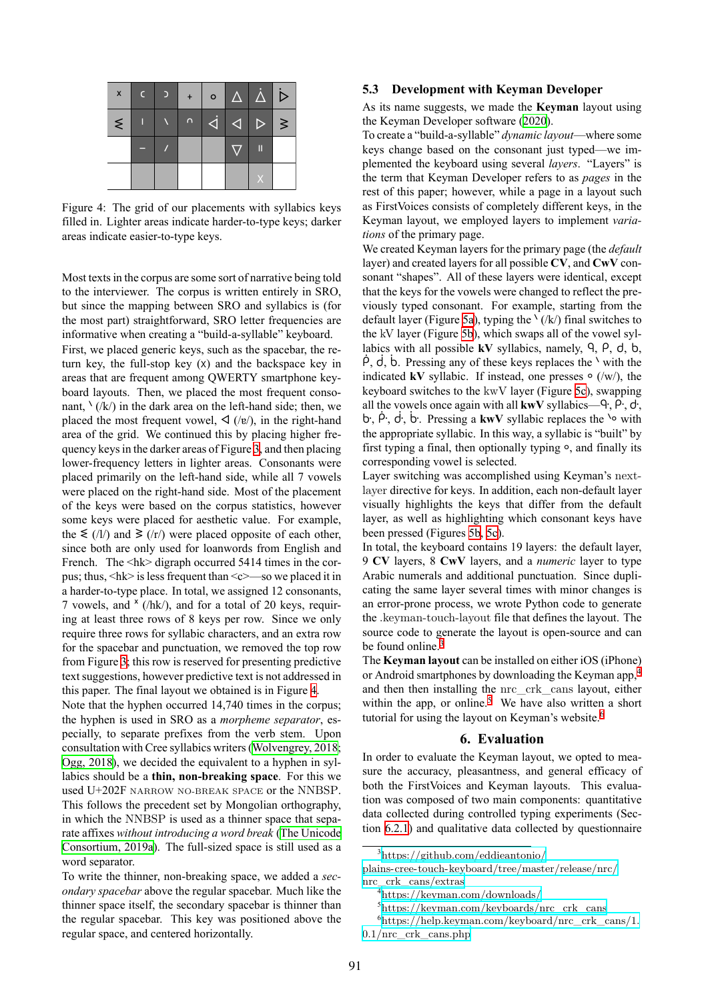<span id="page-3-0"></span>

| $\mathsf{x}$ | $\epsilon$ | $\vert$ ) | $\blacklozenge$ |   | $\circ$ $\overline{\Delta}$ $\dot{\Delta}$ $\overline{\phantom{a}}$ |                                     | $\dot{\triangleright}$ |
|--------------|------------|-----------|-----------------|---|---------------------------------------------------------------------|-------------------------------------|------------------------|
| $\leq$       |            |           | $\cap$          | 4 | $\triangleleft$                                                     | $\triangleright$   $\triangleright$ |                        |
|              |            |           |                 |   |                                                                     | П                                   |                        |
|              |            |           |                 |   |                                                                     | ΙX                                  |                        |

Figure 4: The grid of our placements with syllabics keys filled in. Lighter areas indicate harder-to-type keys; darker areas indicate easier-to-type keys.

Most texts in the corpus are some sort of narrative being told to the interviewer. The corpus is written entirely in SRO, but since the mapping between SRO and syllabics is (for the most part) straightforward, SRO letter frequencies are informative when creating a "build-a-syllable" keyboard.

First, we placed generic keys, such as the spacebar, the return key, the full-stop key  $(x)$  and the backspace key in areas that are frequent among QWERTY smartphone keyboard layouts. Then, we placed the most frequent consonant,  $\langle$  (/k/) in the dark area on the left-hand side; then, we placed the most frequent vowel,  $\triangleleft$  (/ɐ/), in the right-hand area of the grid. We continued this by placing higher frequency keys in the darker areas of Figure [3](#page-2-1), and then placing lower-frequency letters in lighter areas. Consonants were placed primarily on the left-hand side, while all 7 vowels were placed on the right-hand side. Most of the placement of the keys were based on the corpus statistics, however some keys were placed for aesthetic value. For example, the  $\leq$  (/l/) and  $\geq$  (/r/) were placed opposite of each other, since both are only used for loanwords from English and French. The  $\langle h \rangle$  digraph occurred 5414 times in the corpus; thus,  $\langle h \cdot \rangle$  is less frequent than  $\langle c \rangle$  so we placed it in a harder-to-type place. In total, we assigned 12 consonants, 7 vowels, and  $\frac{x}{h}$  (/hk/), and for a total of 20 keys, requiring at least three rows of 8 keys per row. Since we only require three rows for syllabic characters, and an extra row for the spacebar and punctuation, we removed the top row from Figure [3;](#page-2-1) this row is reserved for presenting predictive text suggestions, however predictive text is not addressed in this paper. The final layout we obtained is in Figure [4](#page-3-0).

Note that the hyphen occurred 14,740 times in the corpus; the hyphen is used in SRO as a *morpheme separator*, especially, to separate prefixes from the verb stem. Upon consultation with Cree syllabics writers [\(Wolvengrey, 2018](#page-8-14); [Ogg, 2018\)](#page-8-15), we decided the equivalent to a hyphen in syllabics should be a **thin, non-breaking space**. For this we used U+202F NARROW NO-BREAK SPACE or the NNBSP. This follows the precedent set by Mongolian orthography, in which the NNBSP is used as a thinner space that separate affixes *without introducing a word break* ([The Unicode](#page-8-16) [Consortium, 2019a\)](#page-8-16). The full-sized space is still used as a word separator.

To write the thinner, non-breaking space, we added a *secondary spacebar* above the regular spacebar. Much like the thinner space itself, the secondary spacebar is thinner than the regular spacebar. This key was positioned above the regular space, and centered horizontally.

### **5.3 Development with Keyman Developer**

As its name suggests, we made the **Keyman** layout using the Keyman Developer software([2020\)](#page-8-9).

To create a "build-a-syllable" *dynamic layout*—where some keys change based on the consonant just typed—we implemented the keyboard using several *layers*. "Layers" is the term that Keyman Developer refers to as *pages* in the rest of this paper; however, while a page in a layout such as FirstVoices consists of completely different keys, in the Keyman layout, we employed layers to implement *variations* of the primary page.

We created Keyman layers for the primary page (the *default* layer) and created layers for all possible **CV**, and **CwV** consonant "shapes". All of these layers were identical, except that the keys for the vowels were changed to reflect the previously typed consonant. For example, starting from the default layer (Figure [5a\)](#page-4-0), typing the  $\lambda$  (/k/) final switches to the kV layer (Figure [5b](#page-4-0)), which swaps all of the vowel syllabics with all possible  $kV$  syllabics, namely,  $\theta$ ,  $\theta$ ,  $\theta$ ,  $\theta$ ,  $\phi$ ,  $\dot{P}$ ,  $\dot{P}$ ,  $\dot{P}$ . Pressing any of these keys replaces the  $\dot{P}$  with the indicated **kV** syllabic. If instead, one presses  $\circ$  (/w/), the keyboard switches to the kwV layer (Figure [5c](#page-4-0)), swapping all the vowels once again with all  $kwV$  syllabics— $\theta$ ,  $\rho$ ,  $\theta$ ,  $\mathbf{b}$ ,  $\mathbf{P}$ ,  $\mathbf{d}$ ,  $\mathbf{b}$ . Pressing a **kwV** syllabic replaces the  $\mathbf{b}$  with the appropriate syllabic. In this way, a syllabic is "built" by first typing a final, then optionally typing  $\circ$ , and finally its corresponding vowel is selected.

Layer switching was accomplished using Keyman's nextlayer directive for keys. In addition, each non-default layer visually highlights the keys that differ from the default layer, as well as highlighting which consonant keys have been pressed (Figures [5b](#page-4-0), [5c\)](#page-4-0).

In total, the keyboard contains 19 layers: the default layer, 9 **CV** layers, 8 **CwV** layers, and a *numeric* layer to type Arabic numerals and additional punctuation. Since duplicating the same layer several times with minor changes is an error-prone process, we wrote Python code to generate the .keyman-touch-layout file that defines the layout. The source code to generate the layout is open-source and can be found online.<sup>[3](#page-3-1)</sup>

The **Keyman layout** can be installed on either iOS (iPhone) or Android smartphones by downloading the Keyman app,[4](#page-3-2) and then then installing the nrc\_crk\_cans layout, either within the app, or online.<sup>[5](#page-3-3)</sup> We have also written a short tutorial for using the layout on Keyman's website.<sup>[6](#page-3-4)</sup>

#### **6. Evaluation**

In order to evaluate the Keyman layout, we opted to measure the accuracy, pleasantness, and general efficacy of both the FirstVoices and Keyman layouts. This evaluation was composed of two main components: quantitative data collected during controlled typing experiments (Section [6.2.1\)](#page-4-1) and qualitative data collected by questionnaire

<span id="page-3-1"></span><sup>3</sup>[https://github.com/eddieantonio/](https://github.com/eddieantonio/plains-cree-touch-keyboard/tree/master/release/nrc/nrc_crk_cans/extras)

[plains-cree-touch-keyboard/tree/master/release/nrc/](https://github.com/eddieantonio/plains-cree-touch-keyboard/tree/master/release/nrc/nrc_crk_cans/extras) [nrc\\_crk\\_cans/extras](https://github.com/eddieantonio/plains-cree-touch-keyboard/tree/master/release/nrc/nrc_crk_cans/extras)

<span id="page-3-2"></span><sup>4</sup><https://keyman.com/downloads/>

<span id="page-3-4"></span><span id="page-3-3"></span><sup>5</sup>[https://keyman.com/keyboards/nrc\\_crk\\_cans](https://keyman.com/keyboards/nrc_crk_cans)

<sup>6</sup>[https://help.keyman.com/keyboard/nrc\\_crk\\_cans/1.](https://help.keyman.com/keyboard/nrc_crk_cans/1.0.1/nrc_crk_cans.php)

 $0.1/nrc$ <sub>crk\_cans.php</sub>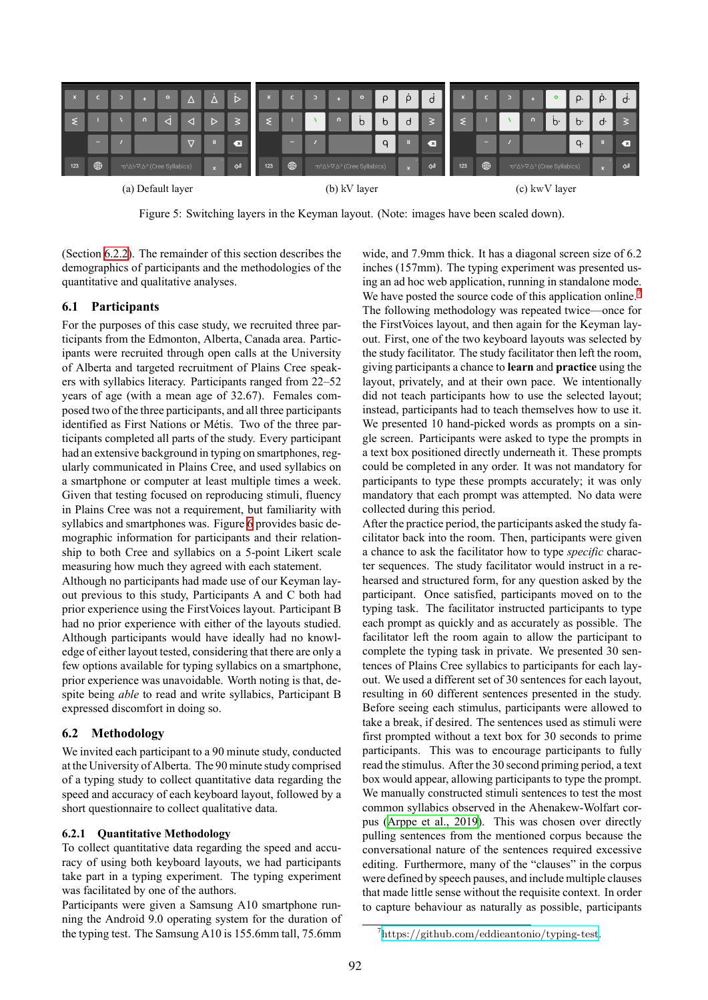<span id="page-4-0"></span>

Figure 5: Switching layers in the Keyman layout. (Note: images have been scaled down).

(Section [6.2.2\)](#page-5-0). The remainder of this section describes the demographics of participants and the methodologies of the quantitative and qualitative analyses.

## **6.1 Participants**

For the purposes of this case study, we recruited three participants from the Edmonton, Alberta, Canada area. Participants were recruited through open calls at the University of Alberta and targeted recruitment of Plains Cree speakers with syllabics literacy. Participants ranged from 22–52 years of age (with a mean age of 32.67). Females composed two of the three participants, and all three participants identified as First Nations or Métis. Two of the three participants completed all parts of the study. Every participant had an extensive background in typing on smartphones, regularly communicated in Plains Cree, and used syllabics on a smartphone or computer at least multiple times a week. Given that testing focused on reproducing stimuli, fluency in Plains Cree was not a requirement, but familiarity with syllabics and smartphones was. Figure [6](#page-5-1) provides basic demographic information for participants and their relationship to both Cree and syllabics on a 5-point Likert scale measuring how much they agreed with each statement.

Although no participants had made use of our Keyman layout previous to this study, Participants A and C both had prior experience using the FirstVoices layout. Participant B had no prior experience with either of the layouts studied. Although participants would have ideally had no knowledge of either layout tested, considering that there are only a few options available for typing syllabics on a smartphone, prior experience was unavoidable. Worth noting is that, despite being *able* to read and write syllabics, Participant B expressed discomfort in doing so.

## **6.2 Methodology**

We invited each participant to a 90 minute study, conducted at the University of Alberta. The 90 minute study comprised of a typing study to collect quantitative data regarding the speed and accuracy of each keyboard layout, followed by a short questionnaire to collect qualitative data.

### <span id="page-4-1"></span>**6.2.1 Quantitative Methodology**

To collect quantitative data regarding the speed and accuracy of using both keyboard layouts, we had participants take part in a typing experiment. The typing experiment was facilitated by one of the authors.

Participants were given a Samsung A10 smartphone running the Android 9.0 operating system for the duration of the typing test. The Samsung A10 is 155.6mm tall, 75.6mm

wide, and 7.9mm thick. It has a diagonal screen size of 6.2 inches (157mm). The typing experiment was presented using an ad hoc web application, running in standalone mode. We have posted the source code of this application online.<sup>[7](#page-4-2)</sup> The following methodology was repeated twice—once for the FirstVoices layout, and then again for the Keyman layout. First, one of the two keyboard layouts was selected by the study facilitator. The study facilitator then left the room, giving participants a chance to **learn** and **practice** using the layout, privately, and at their own pace. We intentionally did not teach participants how to use the selected layout; instead, participants had to teach themselves how to use it. We presented 10 hand-picked words as prompts on a single screen. Participants were asked to type the prompts in a text box positioned directly underneath it. These prompts could be completed in any order. It was not mandatory for participants to type these prompts accurately; it was only mandatory that each prompt was attempted. No data were collected during this period.

After the practice period, the participants asked the study facilitator back into the room. Then, participants were given a chance to ask the facilitator how to type *specific* character sequences. The study facilitator would instruct in a rehearsed and structured form, for any question asked by the participant. Once satisfied, participants moved on to the typing task. The facilitator instructed participants to type each prompt as quickly and as accurately as possible. The facilitator left the room again to allow the participant to complete the typing task in private. We presented 30 sentences of Plains Cree syllabics to participants for each layout. We used a different set of 30 sentences for each layout, resulting in 60 different sentences presented in the study. Before seeing each stimulus, participants were allowed to take a break, if desired. The sentences used as stimuli were first prompted without a text box for 30 seconds to prime participants. This was to encourage participants to fully read the stimulus. After the 30 second priming period, a text box would appear, allowing participants to type the prompt. We manually constructed stimuli sentences to test the most common syllabics observed in the Ahenakew-Wolfart corpus([Arppe et al., 2019](#page-8-13)). This was chosen over directly pulling sentences from the mentioned corpus because the conversational nature of the sentences required excessive editing. Furthermore, many of the "clauses" in the corpus were defined by speech pauses, and include multiple clauses that made little sense without the requisite context. In order to capture behaviour as naturally as possible, participants

<span id="page-4-2"></span><sup>7</sup><https://github.com/eddieantonio/typing-test>.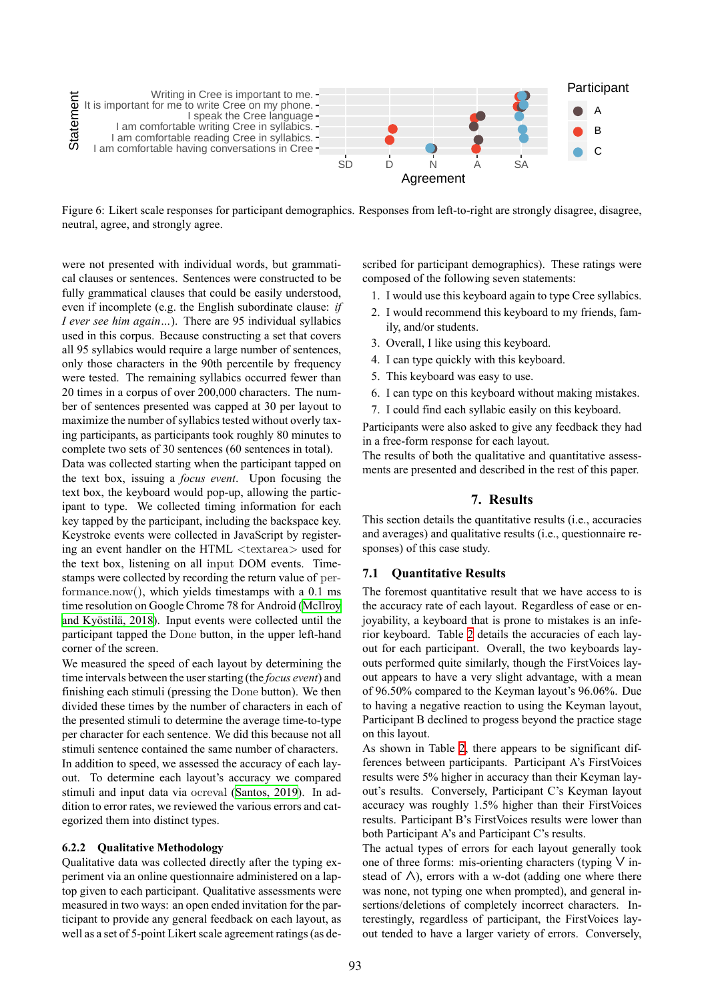<span id="page-5-1"></span>

Figure 6: Likert scale responses for participant demographics. Responses from left-to-right are strongly disagree, disagree, neutral, agree, and strongly agree.

were not presented with individual words, but grammatical clauses or sentences. Sentences were constructed to be fully grammatical clauses that could be easily understood, even if incomplete (e.g. the English subordinate clause: *if I ever see him again…*). There are 95 individual syllabics used in this corpus. Because constructing a set that covers all 95 syllabics would require a large number of sentences, only those characters in the 90th percentile by frequency were tested. The remaining syllabics occurred fewer than 20 times in a corpus of over 200,000 characters. The number of sentences presented was capped at 30 per layout to maximize the number of syllabics tested without overly taxing participants, as participants took roughly 80 minutes to complete two sets of 30 sentences (60 sentences in total).

Data was collected starting when the participant tapped on the text box, issuing a *focus event*. Upon focusing the text box, the keyboard would pop-up, allowing the participant to type. We collected timing information for each key tapped by the participant, including the backspace key. Keystroke events were collected in JavaScript by registering an event handler on the HTML <textarea> used for the text box, listening on all input DOM events. Timestamps were collected by recording the return value of performance.now(), which yields timestamps with a 0.1 ms time resolution on Google Chrome 78 for Android [\(McIlroy](#page-8-17) [and Kyöstilä, 2018\)](#page-8-17). Input events were collected until the participant tapped the Done button, in the upper left-hand corner of the screen.

We measured the speed of each layout by determining the time intervals between the user starting (the *focus event*) and finishing each stimuli (pressing the Done button). We then divided these times by the number of characters in each of the presented stimuli to determine the average time-to-type per character for each sentence. We did this because not all stimuli sentence contained the same number of characters. In addition to speed, we assessed the accuracy of each layout. To determine each layout's accuracy we compared stimuli and input data via ocreval ([Santos, 2019\)](#page-8-18). In addition to error rates, we reviewed the various errors and categorized them into distinct types.

#### <span id="page-5-0"></span>**6.2.2 Qualitative Methodology**

Qualitative data was collected directly after the typing experiment via an online questionnaire administered on a laptop given to each participant. Qualitative assessments were measured in two ways: an open ended invitation for the participant to provide any general feedback on each layout, as well as a set of 5-point Likert scale agreement ratings (as described for participant demographics). These ratings were composed of the following seven statements:

- 1. I would use this keyboard again to type Cree syllabics.
- 2. I would recommend this keyboard to my friends, family, and/or students.
- 3. Overall, I like using this keyboard.
- 4. I can type quickly with this keyboard.
- 5. This keyboard was easy to use.
- 6. I can type on this keyboard without making mistakes.
- 7. I could find each syllabic easily on this keyboard.

Participants were also asked to give any feedback they had in a free-form response for each layout.

The results of both the qualitative and quantitative assessments are presented and described in the rest of this paper.

## **7. Results**

This section details the quantitative results (i.e., accuracies and averages) and qualitative results (i.e., questionnaire responses) of this case study.

#### **7.1 Quantitative Results**

The foremost quantitative result that we have access to is the accuracy rate of each layout. Regardless of ease or enjoyability, a keyboard that is prone to mistakes is an inferior keyboard. Table [2](#page-6-0) details the accuracies of each layout for each participant. Overall, the two keyboards layouts performed quite similarly, though the FirstVoices layout appears to have a very slight advantage, with a mean of 96.50% compared to the Keyman layout's 96.06%. Due to having a negative reaction to using the Keyman layout, Participant B declined to progess beyond the practice stage on this layout.

As shown in Table [2](#page-6-0), there appears to be significant differences between participants. Participant A's FirstVoices results were 5% higher in accuracy than their Keyman layout's results. Conversely, Participant C's Keyman layout accuracy was roughly 1.5% higher than their FirstVoices results. Participant B's FirstVoices results were lower than both Participant A's and Participant C's results.

The actual types of errors for each layout generally took one of three forms: mis-orienting characters (typing  $\vee$  instead of  $\Lambda$ ), errors with a w-dot (adding one where there was none, not typing one when prompted), and general insertions/deletions of completely incorrect characters. Interestingly, regardless of participant, the FirstVoices layout tended to have a larger variety of errors. Conversely,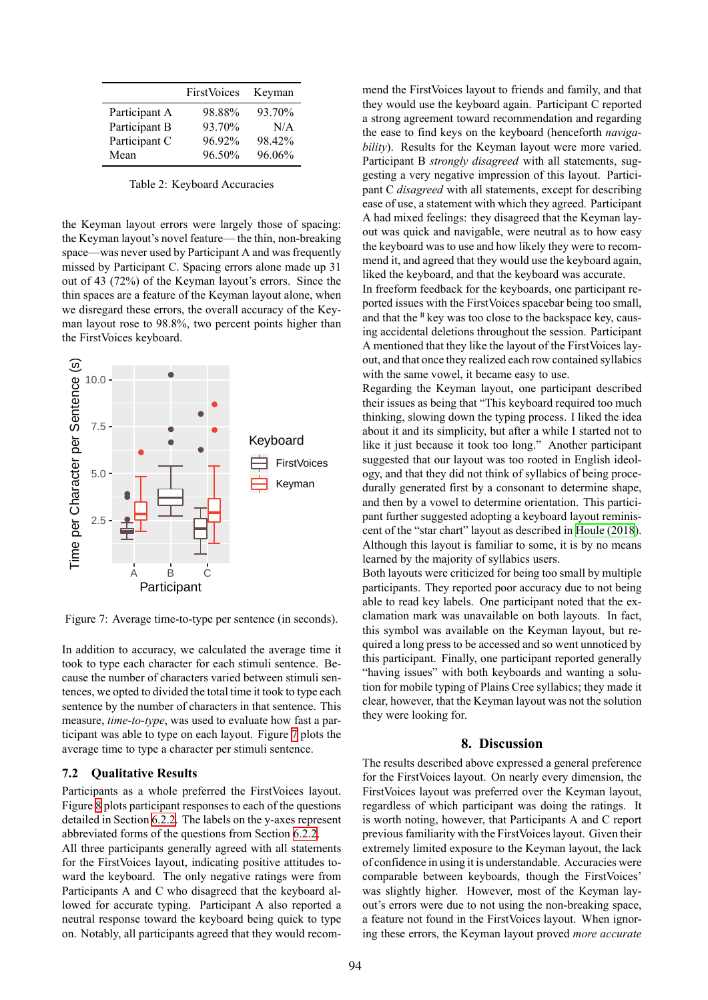<span id="page-6-0"></span>

|               | FirstVoices | Keyman |
|---------------|-------------|--------|
| Participant A | 98.88%      | 93.70% |
| Participant B | 93.70%      | N/A    |
| Participant C | 96.92%      | 98.42% |
| Mean          | 96.50%      | 96.06% |

Table 2: Keyboard Accuracies

the Keyman layout errors were largely those of spacing: the Keyman layout's novel feature— the thin, non-breaking space—was never used by Participant A and was frequently missed by Participant C. Spacing errors alone made up 31 out of 43 (72%) of the Keyman layout's errors. Since the thin spaces are a feature of the Keyman layout alone, when we disregard these errors, the overall accuracy of the Keyman layout rose to 98.8%, two percent points higher than the FirstVoices keyboard.

<span id="page-6-1"></span>

Figure 7: Average time-to-type per sentence (in seconds).

In addition to accuracy, we calculated the average time it took to type each character for each stimuli sentence. Because the number of characters varied between stimuli sentences, we opted to divided the total time it took to type each sentence by the number of characters in that sentence. This measure, *time-to-type*, was used to evaluate how fast a participant was able to type on each layout. Figure [7](#page-6-1) plots the average time to type a character per stimuli sentence.

### **7.2 Qualitative Results**

Participants as a whole preferred the FirstVoices layout. Figure [8](#page-7-0) plots participant responses to each of the questions detailed in Section [6.2.2.](#page-5-0) The labels on the y-axes represent abbreviated forms of the questions from Section [6.2.2.](#page-5-0)

All three participants generally agreed with all statements for the FirstVoices layout, indicating positive attitudes toward the keyboard. The only negative ratings were from Participants A and C who disagreed that the keyboard allowed for accurate typing. Participant A also reported a neutral response toward the keyboard being quick to type on. Notably, all participants agreed that they would recommend the FirstVoices layout to friends and family, and that they would use the keyboard again. Participant C reported a strong agreement toward recommendation and regarding the ease to find keys on the keyboard (henceforth *navigability*). Results for the Keyman layout were more varied. Participant B *strongly disagreed* with all statements, suggesting a very negative impression of this layout. Participant C *disagreed* with all statements, except for describing ease of use, a statement with which they agreed. Participant A had mixed feelings: they disagreed that the Keyman layout was quick and navigable, were neutral as to how easy the keyboard was to use and how likely they were to recommend it, and agreed that they would use the keyboard again, liked the keyboard, and that the keyboard was accurate.

In freeform feedback for the keyboards, one participant reported issues with the FirstVoices spacebar being too small, and that the  $\mathsf{II}$  key was too close to the backspace key, causing accidental deletions throughout the session. Participant A mentioned that they like the layout of the FirstVoices layout, and that once they realized each row contained syllabics with the same vowel, it became easy to use.

Regarding the Keyman layout, one participant described their issues as being that "This keyboard required too much thinking, slowing down the typing process. I liked the idea about it and its simplicity, but after a while I started not to like it just because it took too long." Another participant suggested that our layout was too rooted in English ideology, and that they did not think of syllabics of being procedurally generated first by a consonant to determine shape, and then by a vowel to determine orientation. This participant further suggested adopting a keyboard layout reminiscent of the "star chart" layout as described in [Houle \(2018\)](#page-8-4). Although this layout is familiar to some, it is by no means learned by the majority of syllabics users.

Both layouts were criticized for being too small by multiple participants. They reported poor accuracy due to not being able to read key labels. One participant noted that the exclamation mark was unavailable on both layouts. In fact, this symbol was available on the Keyman layout, but required a long press to be accessed and so went unnoticed by this participant. Finally, one participant reported generally "having issues" with both keyboards and wanting a solution for mobile typing of Plains Cree syllabics; they made it clear, however, that the Keyman layout was not the solution they were looking for.

#### **8. Discussion**

The results described above expressed a general preference for the FirstVoices layout. On nearly every dimension, the FirstVoices layout was preferred over the Keyman layout, regardless of which participant was doing the ratings. It is worth noting, however, that Participants A and C report previous familiarity with the FirstVoices layout. Given their extremely limited exposure to the Keyman layout, the lack of confidence in using it is understandable. Accuracies were comparable between keyboards, though the FirstVoices' was slightly higher. However, most of the Keyman layout's errors were due to not using the non-breaking space, a feature not found in the FirstVoices layout. When ignoring these errors, the Keyman layout proved *more accurate*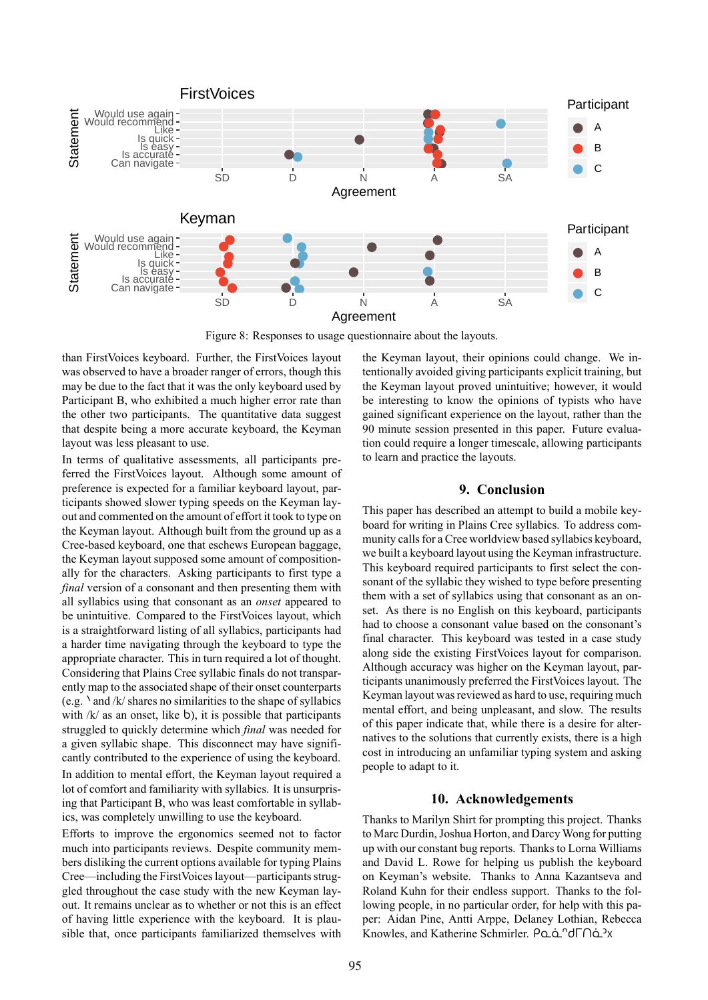<span id="page-7-0"></span>

Figure 8: Responses to usage questionnaire about the layouts.

than FirstVoices keyboard. Further, the FirstVoices layout was observed to have a broader ranger of errors, though this may be due to the fact that it was the only keyboard used by Participant B, who exhibited a much higher error rate than the other two participants. The quantitative data suggest that despite being a more accurate keyboard, the Keyman layout was less pleasant to use.

In terms of qualitative assessments, all participants preferred the FirstVoices layout. Although some amount of preference is expected for a familiar keyboard layout, participants showed slower typing speeds on the Keyman layout and commented on the amount of effort it took to type on the Keyman layout. Although built from the ground up as a Cree-based keyboard, one that eschews European baggage, the Keyman layout supposed some amount of compositionally for the characters. Asking participants to first type a *final* version of a consonant and then presenting them with all syllabics using that consonant as an *onset* appeared to be unintuitive. Compared to the FirstVoices layout, which is a straightforward listing of all syllabics, participants had a harder time navigating through the keyboard to type the appropriate character. This in turn required a lot of thought. Considering that Plains Cree syllabic finals do not transparently map to the associated shape of their onset counterparts (e.g.  $\lambda$  and /k/ shares no similarities to the shape of syllabics with  $/k/$  as an onset, like  $\sigma$ ), it is possible that participants struggled to quickly determine which *final* was needed for a given syllabic shape. This disconnect may have significantly contributed to the experience of using the keyboard. In addition to mental effort, the Keyman layout required a lot of comfort and familiarity with syllabics. It is unsurprising that Participant B, who was least comfortable in syllabics, was completely unwilling to use the keyboard.

Efforts to improve the ergonomics seemed not to factor much into participants reviews. Despite community members disliking the current options available for typing Plains Cree—including the FirstVoices layout—participants struggled throughout the case study with the new Keyman layout. It remains unclear as to whether or not this is an effect of having little experience with the keyboard. It is plausible that, once participants familiarized themselves with the Keyman layout, their opinions could change. We intentionally avoided giving participants explicit training, but the Keyman layout proved unintuitive; however, it would be interesting to know the opinions of typists who have gained significant experience on the layout, rather than the 90 minute session presented in this paper. Future evaluation could require a longer timescale, allowing participants to learn and practice the layouts.

# **9. Conclusion**

This paper has described an attempt to build a mobile keyboard for writing in Plains Cree syllabics. To address community calls for a Cree worldview based syllabics keyboard, we built a keyboard layout using the Keyman infrastructure. This keyboard required participants to first select the consonant of the syllabic they wished to type before presenting them with a set of syllabics using that consonant as an onset. As there is no English on this keyboard, participants had to choose a consonant value based on the consonant's final character. This keyboard was tested in a case study along side the existing FirstVoices layout for comparison. Although accuracy was higher on the Keyman layout, participants unanimously preferred the FirstVoices layout. The Keyman layout was reviewed as hard to use, requiring much mental effort, and being unpleasant, and slow. The results of this paper indicate that, while there is a desire for alternatives to the solutions that currently exists, there is a high cost in introducing an unfamiliar typing system and asking people to adapt to it.

# **10. Acknowledgements**

Thanks to Marilyn Shirt for prompting this project. Thanks to Marc Durdin, Joshua Horton, and Darcy Wong for putting up with our constant bug reports. Thanks to Lorna Williams and David L. Rowe for helping us publish the keyboard on Keyman's website. Thanks to Anna Kazantseva and Roland Kuhn for their endless support. Thanks to the following people, in no particular order, for help with this paper: Aidan Pine, Antti Arppe, Delaney Lothian, Rebecca Knowles, and Katherine Schmirler. Po\_a<sup>∩</sup>d $\Gamma$ ∩a<sup>→</sup>x